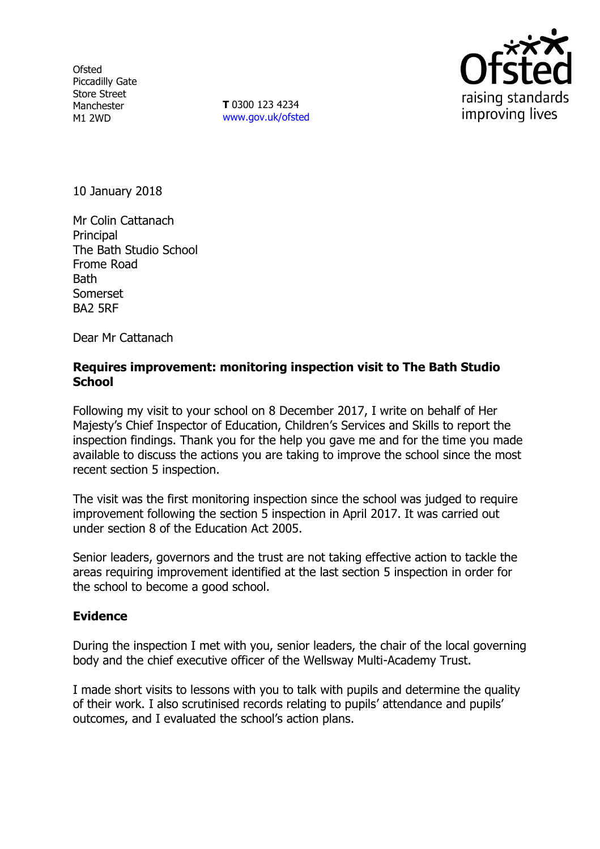**Ofsted** Piccadilly Gate Store Street Manchester M1 2WD

**T** 0300 123 4234 www.gov.uk/ofsted



10 January 2018

Mr Colin Cattanach Principal The Bath Studio School Frome Road **Bath** Somerset BA2 5RF

Dear Mr Cattanach

## **Requires improvement: monitoring inspection visit to The Bath Studio School**

Following my visit to your school on 8 December 2017, I write on behalf of Her Majesty's Chief Inspector of Education, Children's Services and Skills to report the inspection findings. Thank you for the help you gave me and for the time you made available to discuss the actions you are taking to improve the school since the most recent section 5 inspection.

The visit was the first monitoring inspection since the school was judged to require improvement following the section 5 inspection in April 2017. It was carried out under section 8 of the Education Act 2005.

Senior leaders, governors and the trust are not taking effective action to tackle the areas requiring improvement identified at the last section 5 inspection in order for the school to become a good school.

## **Evidence**

During the inspection I met with you, senior leaders, the chair of the local governing body and the chief executive officer of the Wellsway Multi-Academy Trust.

I made short visits to lessons with you to talk with pupils and determine the quality of their work. I also scrutinised records relating to pupils' attendance and pupils' outcomes, and I evaluated the school's action plans.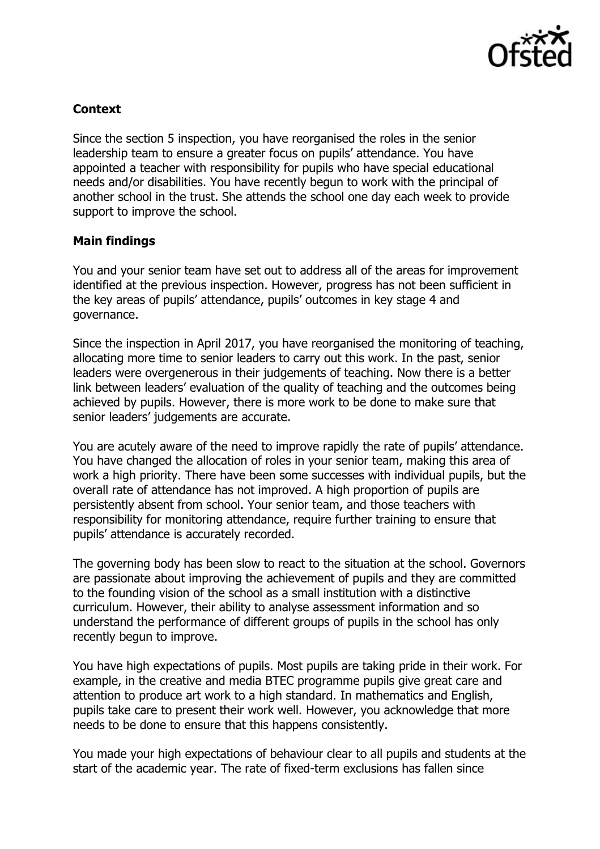

# **Context**

Since the section 5 inspection, you have reorganised the roles in the senior leadership team to ensure a greater focus on pupils' attendance. You have appointed a teacher with responsibility for pupils who have special educational needs and/or disabilities. You have recently begun to work with the principal of another school in the trust. She attends the school one day each week to provide support to improve the school.

## **Main findings**

You and your senior team have set out to address all of the areas for improvement identified at the previous inspection. However, progress has not been sufficient in the key areas of pupils' attendance, pupils' outcomes in key stage 4 and governance.

Since the inspection in April 2017, you have reorganised the monitoring of teaching, allocating more time to senior leaders to carry out this work. In the past, senior leaders were overgenerous in their judgements of teaching. Now there is a better link between leaders' evaluation of the quality of teaching and the outcomes being achieved by pupils. However, there is more work to be done to make sure that senior leaders' judgements are accurate.

You are acutely aware of the need to improve rapidly the rate of pupils' attendance. You have changed the allocation of roles in your senior team, making this area of work a high priority. There have been some successes with individual pupils, but the overall rate of attendance has not improved. A high proportion of pupils are persistently absent from school. Your senior team, and those teachers with responsibility for monitoring attendance, require further training to ensure that pupils' attendance is accurately recorded.

The governing body has been slow to react to the situation at the school. Governors are passionate about improving the achievement of pupils and they are committed to the founding vision of the school as a small institution with a distinctive curriculum. However, their ability to analyse assessment information and so understand the performance of different groups of pupils in the school has only recently begun to improve.

You have high expectations of pupils. Most pupils are taking pride in their work. For example, in the creative and media BTEC programme pupils give great care and attention to produce art work to a high standard. In mathematics and English, pupils take care to present their work well. However, you acknowledge that more needs to be done to ensure that this happens consistently.

You made your high expectations of behaviour clear to all pupils and students at the start of the academic year. The rate of fixed-term exclusions has fallen since